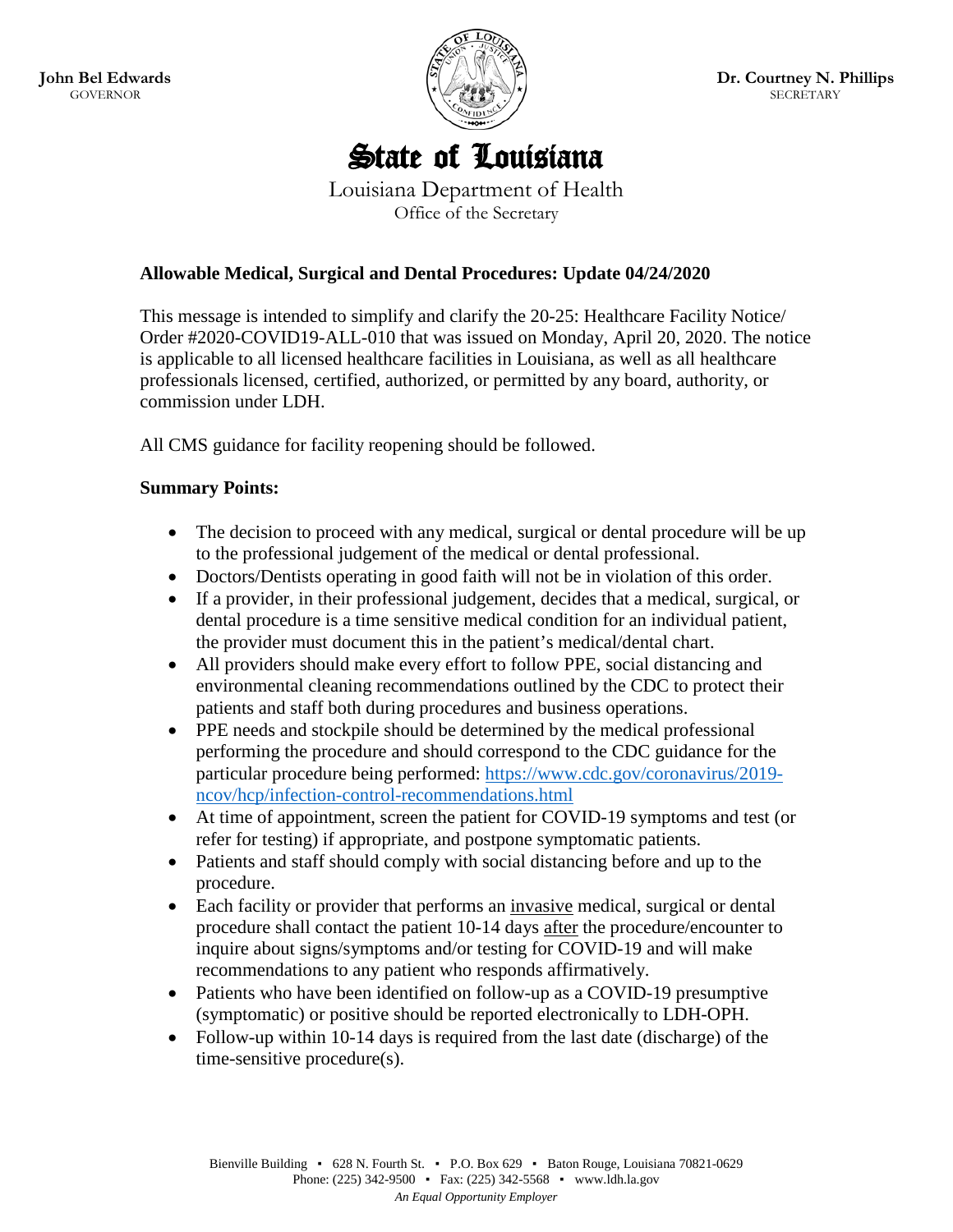

# State of Louisiana

Louisiana Department of Health Office of the Secretary

#### **Allowable Medical, Surgical and Dental Procedures: Update 04/24/2020**

This message is intended to simplify and clarify the 20-25: Healthcare Facility Notice/ Order #2020-COVID19-ALL-010 that was issued on Monday, April 20, 2020. The notice is applicable to all licensed healthcare facilities in Louisiana, as well as all healthcare professionals licensed, certified, authorized, or permitted by any board, authority, or commission under LDH.

All CMS guidance for facility reopening should be followed.

#### **Summary Points:**

- The decision to proceed with any medical, surgical or dental procedure will be up to the professional judgement of the medical or dental professional.
- Doctors/Dentists operating in good faith will not be in violation of this order.
- If a provider, in their professional judgement, decides that a medical, surgical, or dental procedure is a time sensitive medical condition for an individual patient, the provider must document this in the patient's medical/dental chart.
- All providers should make every effort to follow PPE, social distancing and environmental cleaning recommendations outlined by the CDC to protect their patients and staff both during procedures and business operations.
- PPE needs and stockpile should be determined by the medical professional performing the procedure and should correspond to the CDC guidance for the particular procedure being performed: [https://www.cdc.gov/coronavirus/2019](https://www.cdc.gov/coronavirus/2019-ncov/hcp/infection-control-recommendations.html) [ncov/hcp/infection-control-recommendations.html](https://www.cdc.gov/coronavirus/2019-ncov/hcp/infection-control-recommendations.html)
- At time of appointment, screen the patient for COVID-19 symptoms and test (or refer for testing) if appropriate, and postpone symptomatic patients.
- Patients and staff should comply with social distancing before and up to the procedure.
- Each facility or provider that performs an invasive medical, surgical or dental procedure shall contact the patient 10-14 days after the procedure/encounter to inquire about signs/symptoms and/or testing for COVID-19 and will make recommendations to any patient who responds affirmatively.
- Patients who have been identified on follow-up as a COVID-19 presumptive (symptomatic) or positive should be reported electronically to LDH-OPH.
- Follow-up within 10-14 days is required from the last date (discharge) of the time-sensitive procedure(s).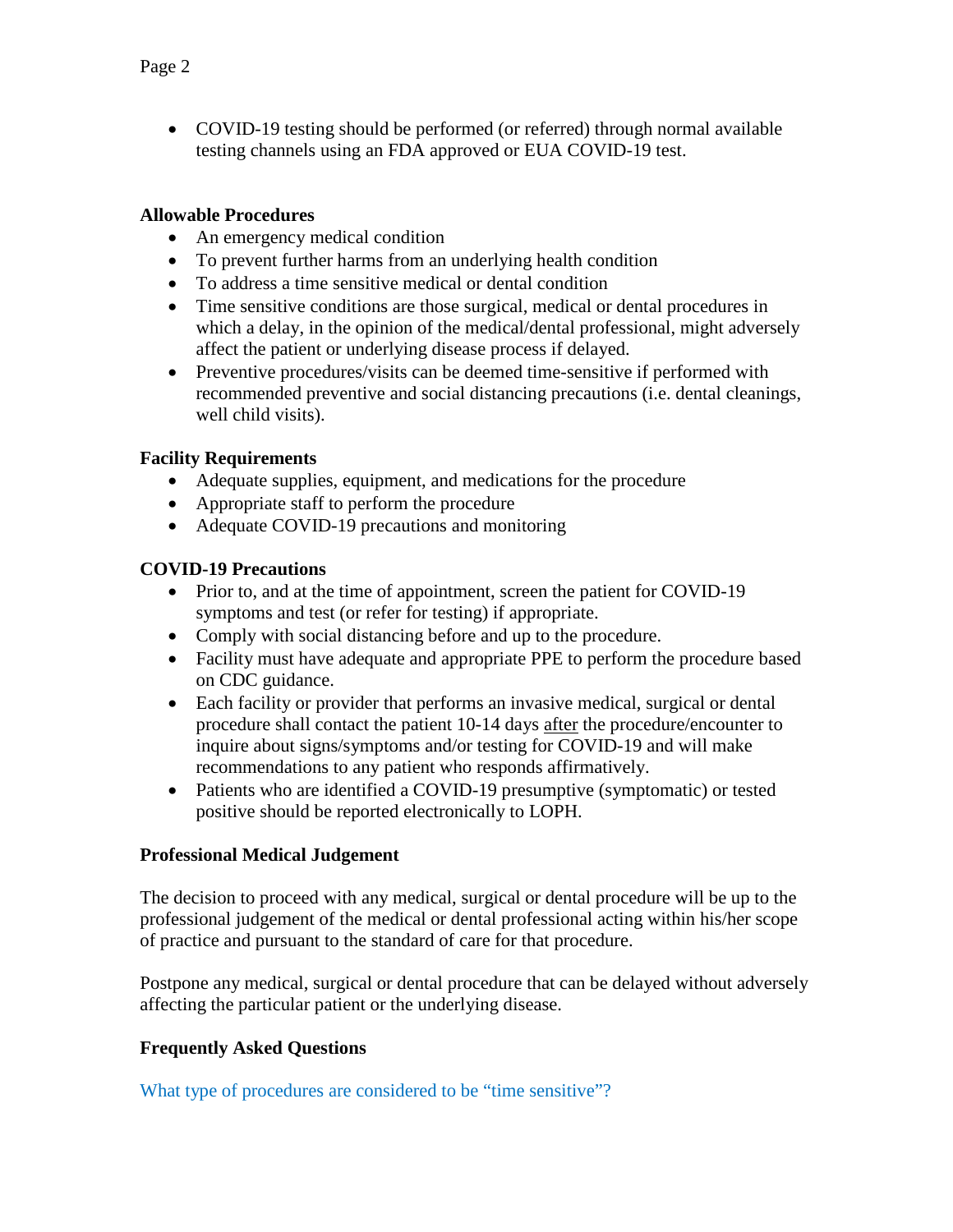• COVID-19 testing should be performed (or referred) through normal available testing channels using an FDA approved or EUA COVID-19 test.

#### **Allowable Procedures**

- An emergency medical condition
- To prevent further harms from an underlying health condition
- To address a time sensitive medical or dental condition
- Time sensitive conditions are those surgical, medical or dental procedures in which a delay, in the opinion of the medical/dental professional, might adversely affect the patient or underlying disease process if delayed.
- Preventive procedures/visits can be deemed time-sensitive if performed with recommended preventive and social distancing precautions (i.e. dental cleanings, well child visits).

## **Facility Requirements**

- Adequate supplies, equipment, and medications for the procedure
- Appropriate staff to perform the procedure
- Adequate COVID-19 precautions and monitoring

### **COVID-19 Precautions**

- Prior to, and at the time of appointment, screen the patient for COVID-19 symptoms and test (or refer for testing) if appropriate.
- Comply with social distancing before and up to the procedure.
- Facility must have adequate and appropriate PPE to perform the procedure based on CDC guidance.
- Each facility or provider that performs an invasive medical, surgical or dental procedure shall contact the patient 10-14 days after the procedure/encounter to inquire about signs/symptoms and/or testing for COVID-19 and will make recommendations to any patient who responds affirmatively.
- Patients who are identified a COVID-19 presumptive (symptomatic) or tested positive should be reported electronically to LOPH.

## **Professional Medical Judgement**

The decision to proceed with any medical, surgical or dental procedure will be up to the professional judgement of the medical or dental professional acting within his/her scope of practice and pursuant to the standard of care for that procedure.

Postpone any medical, surgical or dental procedure that can be delayed without adversely affecting the particular patient or the underlying disease.

## **Frequently Asked Questions**

What type of procedures are considered to be "time sensitive"?